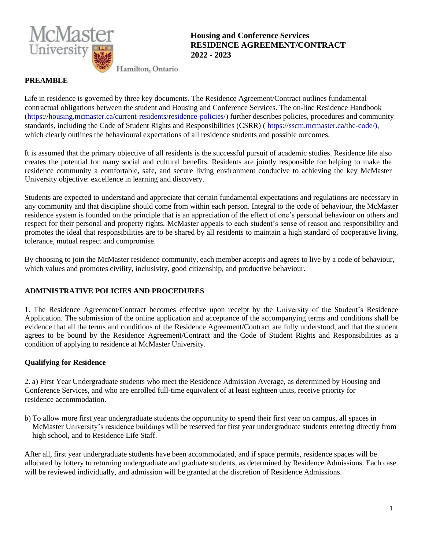

**Housing and Conference Services RESIDENCE AGREEMENT/CONTRACT 2022 - 2023**

Hamilton, Ontario

#### **PREAMBLE**

Life in residence is governed by three key documents. The Residence Agreement/Contract outlines fundamental contractual obligations between the student and Housing and Conference Services. The on-line Residence Handbook [\(https://housing.mcmaster.ca/current-residents/residence-policies/](https://housing.mcmaster.ca/current-residents/residence-policies)) further describes policies, procedures and community standards, including the Code of Student Rights and Responsibilities (CSRR) ( [https://sscm.mcma](https://sscm.mcmaster.ca/the-code)ster.ca/the-code/), which clearly outlines the behavioural expectations of all residence students and possible outcomes.

It is assumed that the primary objective of all residents is the successful pursuit of academic studies. Residence life also creates the potential for many social and cultural benefits. Residents are jointly responsible for helping to make the residence community a comfortable, safe, and secure living environment conducive to achieving the key McMaster University objective: excellence in learning and discovery.

Students are expected to understand and appreciate that certain fundamental expectations and regulations are necessary in any community and that discipline should come from within each person. Integral to the code of behaviour, the McMaster residence system is founded on the principle that is an appreciation of the effect of one's personal behaviour on others and respect for their personal and property rights. McMaster appeals to each student's sense of reason and responsibility and promotes the ideal that responsibilities are to be shared by all residents to maintain a high standard of cooperative living, tolerance, mutual respect and compromise.

By choosing to join the McMaster residence community, each member accepts and agrees to live by a code of behaviour, which values and promotes civility, inclusivity, good citizenship, and productive behaviour.

# **ADMINISTRATIVE POLICIES AND PROCEDURES**

1. The Residence Agreement/Contract becomes effective upon receipt by the University of the Student's Residence Application. The submission of the online application and acceptance of the accompanying terms and conditions shall be evidence that all the terms and conditions of the Residence Agreement/Contract are fully understood, and that the student agrees to be bound by the Residence Agreement/Contract and the Code of Student Rights and Responsibilities as a condition of applying to residence at McMaster University.

#### **Qualifying for Residence**

2. a) First Year Undergraduate students who meet the Residence Admission Average, as determined by Housing and Conference Services, and who are enrolled full-time equivalent of at least eighteen units, receive priority for residence accommodation.

b) To allow more first year undergraduate students the opportunity to spend their first year on campus, all spaces in McMaster University's residence buildings will be reserved for first year undergraduate students entering directly from high school, and to Residence Life Staff.

After all, first year undergraduate students have been accommodated, and if space permits, residence spaces will be allocated by lottery to returning undergraduate and graduate students, as determined by Residence Admissions. Each case will be reviewed individually, and admission will be granted at the discretion of Residence Admissions.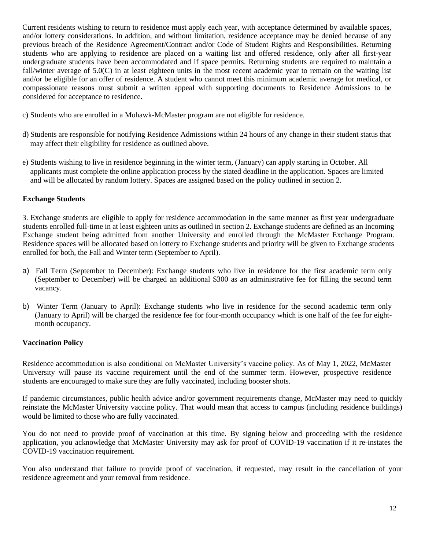Current residents wishing to return to residence must apply each year, with acceptance determined by available spaces, and/or lottery considerations. In addition, and without limitation, residence acceptance may be denied because of any previous breach of the Residence Agreement/Contract and/or Code of Student Rights and Responsibilities. Returning students who are applying to residence are placed on a waiting list and offered residence, only after all first-year undergraduate students have been accommodated and if space permits. Returning students are required to maintain a fall/winter average of 5.0(C) in at least eighteen units in the most recent academic year to remain on the waiting list and/or be eligible for an offer of residence. A student who cannot meet this minimum academic average for medical, or compassionate reasons must submit a written appeal with supporting documents to Residence Admissions to be considered for acceptance to residence.

- c) Students who are enrolled in a Mohawk-McMaster program are not eligible for residence.
- d) Students are responsible for notifying Residence Admissions within 24 hours of any change in their student status that may affect their eligibility for residence as outlined above.
- e) Students wishing to live in residence beginning in the winter term, (January) can apply starting in October. All applicants must complete the online application process by the stated deadline in the application. Spaces are limited and will be allocated by random lottery. Spaces are assigned based on the policy outlined in section 2.

#### **Exchange Students**

3. Exchange students are eligible to apply for residence accommodation in the same manner as first year undergraduate students enrolled full-time in at least eighteen units as outlined in section 2. Exchange students are defined as an Incoming Exchange student being admitted from another University and enrolled through the McMaster Exchange Program. Residence spaces will be allocated based on lottery to Exchange students and priority will be given to Exchange students enrolled for both, the Fall and Winter term (September to April).

- a) Fall Term (September to December): Exchange students who live in residence for the first academic term only (September to December) will be charged an additional \$300 as an administrative fee for filling the second term vacancy.
- b) Winter Term (January to April): Exchange students who live in residence for the second academic term only (January to April) will be charged the residence fee for four-month occupancy which is one half of the fee for eightmonth occupancy.

#### **Vaccination Policy**

Residence accommodation is also conditional on McMaster University's vaccine policy. As of May 1, 2022, McMaster University will pause its vaccine requirement until the end of the summer term. However, prospective residence students are encouraged to make sure they are fully vaccinated, including booster shots.

If pandemic circumstances, public health advice and/or government requirements change, McMaster may need to quickly reinstate the McMaster University vaccine policy. That would mean that access to campus (including residence buildings) would be limited to those who are fully vaccinated.

You do not need to provide proof of vaccination at this time. By signing below and proceeding with the residence application, you acknowledge that McMaster University may ask for proof of COVID-19 vaccination if it re-instates the COVID-19 vaccination requirement.

You also understand that failure to provide proof of vaccination, if requested, may result in the cancellation of your residence agreement and your removal from residence.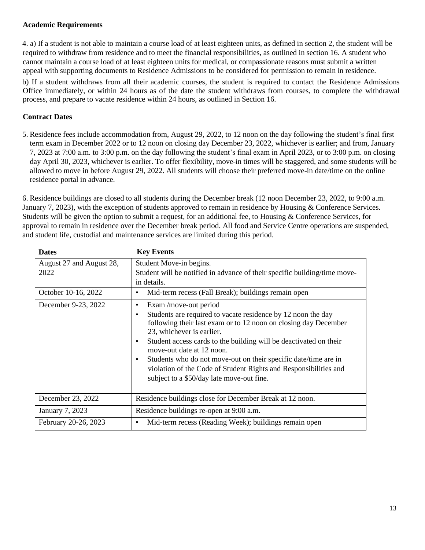#### **Academic Requirements**

4. a) If a student is not able to maintain a course load of at least eighteen units, as defined in section 2, the student will be required to withdraw from residence and to meet the financial responsibilities, as outlined in section 16. A student who cannot maintain a course load of at least eighteen units for medical, or compassionate reasons must submit a written appeal with supporting documents to Residence Admissions to be considered for permission to remain in residence.

b) If a student withdraws from all their academic courses, the student is required to contact the Residence Admissions Office immediately, or within 24 hours as of the date the student withdraws from courses, to complete the withdrawal process, and prepare to vacate residence within 24 hours, as outlined in Section 16.

## **Contract Dates**

5. Residence fees include accommodation from, August 29, 2022, to 12 noon on the day following the student's final first term exam in December 2022 or to 12 noon on closing day December 23, 2022, whichever is earlier; and from, January 7, 2023 at 7:00 a.m. to 3:00 p.m. on the day following the student's final exam in April 2023, or to 3:00 p.m. on closing day April 30, 2023, whichever is earlier. To offer flexibility, move-in times will be staggered, and some students will be allowed to move in before August 29, 2022. All students will choose their preferred move-in date/time on the online residence portal in advance.

6. Residence buildings are closed to all students during the December break (12 noon December 23, 2022, to 9:00 a.m. January 7, 2023), with the exception of students approved to remain in residence by Housing & Conference Services. Students will be given the option to submit a request, for an additional fee, to Housing & Conference Services, for approval to remain in residence over the December break period. All food and Service Centre operations are suspended, and student life, custodial and maintenance services are limited during this period.

| <b>Dates</b>                                                                   | <b>Key Events</b>                                                                                                                                                                                                                                                                                                                                                                                                                                                                                                                                                                                                                                                                                                  |
|--------------------------------------------------------------------------------|--------------------------------------------------------------------------------------------------------------------------------------------------------------------------------------------------------------------------------------------------------------------------------------------------------------------------------------------------------------------------------------------------------------------------------------------------------------------------------------------------------------------------------------------------------------------------------------------------------------------------------------------------------------------------------------------------------------------|
| August 27 and August 28,<br>2022<br>October 10-16, 2022<br>December 9-23, 2022 | Student Move-in begins.<br>Student will be notified in advance of their specific building/time move-<br>in details.<br>Mid-term recess (Fall Break); buildings remain open<br>$\bullet$<br>Exam /move-out period<br>$\bullet$<br>Students are required to vacate residence by 12 noon the day<br>$\bullet$<br>following their last exam or to 12 noon on closing day December<br>23, whichever is earlier.<br>Student access cards to the building will be deactivated on their<br>$\bullet$<br>move-out date at 12 noon.<br>Students who do not move-out on their specific date/time are in<br>٠<br>violation of the Code of Student Rights and Responsibilities and<br>subject to a \$50/day late move-out fine. |
|                                                                                |                                                                                                                                                                                                                                                                                                                                                                                                                                                                                                                                                                                                                                                                                                                    |
| December 23, 2022                                                              | Residence buildings close for December Break at 12 noon.                                                                                                                                                                                                                                                                                                                                                                                                                                                                                                                                                                                                                                                           |
| January 7, 2023                                                                | Residence buildings re-open at 9:00 a.m.                                                                                                                                                                                                                                                                                                                                                                                                                                                                                                                                                                                                                                                                           |
| February 20-26, 2023                                                           | Mid-term recess (Reading Week); buildings remain open<br>٠                                                                                                                                                                                                                                                                                                                                                                                                                                                                                                                                                                                                                                                         |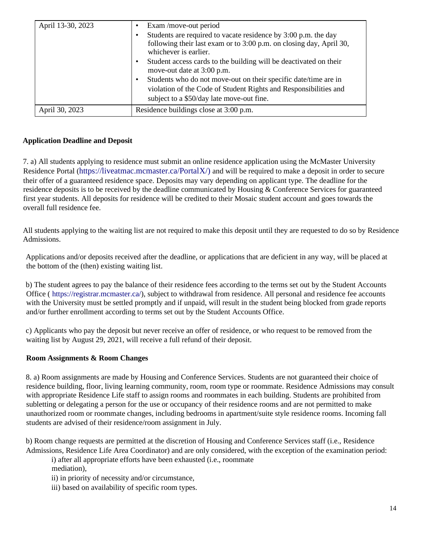| April 13-30, 2023 | Exam/move-out period<br>Students are required to vacate residence by 3:00 p.m. the day<br>following their last exam or to 3:00 p.m. on closing day, April 30,<br>whichever is earlier.<br>Student access cards to the building will be deactivated on their<br>move-out date at 3:00 p.m.<br>Students who do not move-out on their specific date/time are in<br>violation of the Code of Student Rights and Responsibilities and<br>subject to a \$50/day late move-out fine. |
|-------------------|-------------------------------------------------------------------------------------------------------------------------------------------------------------------------------------------------------------------------------------------------------------------------------------------------------------------------------------------------------------------------------------------------------------------------------------------------------------------------------|
| April 30, 2023    | Residence buildings close at 3:00 p.m.                                                                                                                                                                                                                                                                                                                                                                                                                                        |

#### **Application Deadline and Deposit**

7. a) All students applying to residence must submit an online residence application using the McMaster University Residence Portal ([https://liveatmac.mcmaster.ca/PortalX/](https://liveatmac.mcmaster.ca/PortalX)) and will be required to make a deposit in order to secure their offer of a guaranteed residence space. Deposits may vary depending on applicant type. The deadline for the residence deposits is to be received by the deadline communicated by Housing & Conference Services for guaranteed first year students. All deposits for residence will be credited to their Mosaic student account and goes towards the overall full residence fee.

All students applying to the waiting list are not required to make this deposit until they are requested to do so by Residence Admissions.

Applications and/or deposits received after the deadline, or applications that are deficient in any way, will be placed at the bottom of the (then) existing waiting list.

b) The student agrees to pay the balance of their residence fees according to the terms set out by the Student Accounts Office ( [https://registrar.mcma](https://registrar.mcmaster.ca/)ster.ca/), subject to withdrawal from residence. All personal and residence fee accounts with the University must be settled promptly and if unpaid, will result in the student being blocked from grade reports and/or further enrollment according to terms set out by the Student Accounts Office.

c) Applicants who pay the deposit but never receive an offer of residence, or who request to be removed from the waiting list by August 29, 2021, will receive a full refund of their deposit.

#### **Room Assignments & Room Changes**

8. a) Room assignments are made by Housing and Conference Services. Students are not guaranteed their choice of residence building, floor, living learning community, room, room type or roommate. Residence Admissions may consult with appropriate Residence Life staff to assign rooms and roommates in each building. Students are prohibited from subletting or delegating a person for the use or occupancy of their residence rooms and are not permitted to make unauthorized room or roommate changes, including bedrooms in apartment/suite style residence rooms. Incoming fall students are advised of their residence/room assignment in July.

b) Room change requests are permitted at the discretion of Housing and Conference Services staff (i.e., Residence Admissions, Residence Life Area Coordinator) and are only considered, with the exception of the examination period:

i) after all appropriate efforts have been exhausted (i.e., roommate mediation),

ii) in priority of necessity and/or circumstance,

iii) based on availability of specific room types.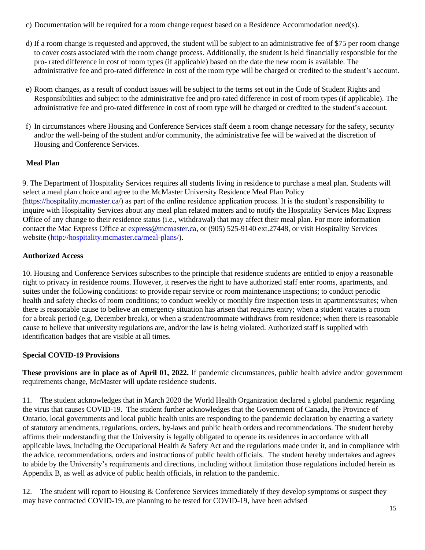- c) Documentation will be required for a room change request based on a Residence Accommodation need(s).
- d) If a room change is requested and approved, the student will be subject to an administrative fee of \$75 per room change to cover costs associated with the room change process. Additionally, the student is held financially responsible for the pro- rated difference in cost of room types (if applicable) based on the date the new room is available. The administrative fee and pro-rated difference in cost of the room type will be charged or credited to the student's account.
- e) Room changes, as a result of conduct issues will be subject to the terms set out in the Code of Student Rights and Responsibilities and subject to the administrative fee and pro-rated difference in cost of room types (if applicable). The administrative fee and pro-rated difference in cost of room type will be charged or credited to the student's account.
- f) In circumstances where Housing and Conference Services staff deem a room change necessary for the safety, security and/or the well-being of the student and/or community, the administrative fee will be waived at the discretion of Housing and Conference Services.

# **Meal Plan**

9. The Department of Hospitality Services requires all students living in residence to purchase a meal plan. Students will select a meal plan choice and agree to the McMaster University Residence Meal Plan Policy [\(https://hospitality.mcma](https://hospitality.mcmaster.ca/)ster.ca/) as part of the online residence application process. It is the student's responsibility to inquire with Hospitality Services about any meal plan related matters and to notify the Hospitality Services Mac Express Office of any change to their residence status (i.e., withdrawal) that may affect their meal plan. For more information contact the Mac Express Office at [express@mcmaster.ca,](mailto:express@mcmaster.ca) or (905) 525-9140 ext.27448, or visit Hospitality Services website [\(http://hospitality.mcmaster.ca/meal-plans/\)](http://hospitality.mcmaster.ca/meal-plans/).

# **Authorized Access**

10. Housing and Conference Services subscribes to the principle that residence students are entitled to enjoy a reasonable right to privacy in residence rooms. However, it reserves the right to have authorized staff enter rooms, apartments, and suites under the following conditions: to provide repair service or room maintenance inspections; to conduct periodic health and safety checks of room conditions; to conduct weekly or monthly fire inspection tests in apartments/suites; when there is reasonable cause to believe an emergency situation has arisen that requires entry; when a student vacates a room for a break period (e.g. December break), or when a student/roommate withdraws from residence; when there is reasonable cause to believe that university regulations are, and/or the law is being violated. Authorized staff is supplied with identification badges that are visible at all times.

# **Special COVID-19 Provisions**

**These provisions are in place as of April 01, 2022.** If pandemic circumstances, public health advice and/or government requirements change, McMaster will update residence students.

11. The student acknowledges that in March 2020 the World Health Organization declared a global pandemic regarding the virus that causes COVID-19. The student further acknowledges that the Government of Canada, the Province of Ontario, local governments and local public health units are responding to the pandemic declaration by enacting a variety of statutory amendments, regulations, orders, by-laws and public health orders and recommendations. The student hereby affirms their understanding that the University is legally obligated to operate its residences in accordance with all applicable laws, including the Occupational Health  $\&$  Safety Act and the regulations made under it, and in compliance with the advice, recommendations, orders and instructions of public health officials. The student hereby undertakes and agrees to abide by the University's requirements and directions, including without limitation those regulations included herein as Appendix B, as well as advice of public health officials, in relation to the pandemic.

12. The student will report to Housing & Conference Services immediately if they develop symptoms or suspect they may have contracted COVID-19, are planning to be tested for COVID-19, have been advised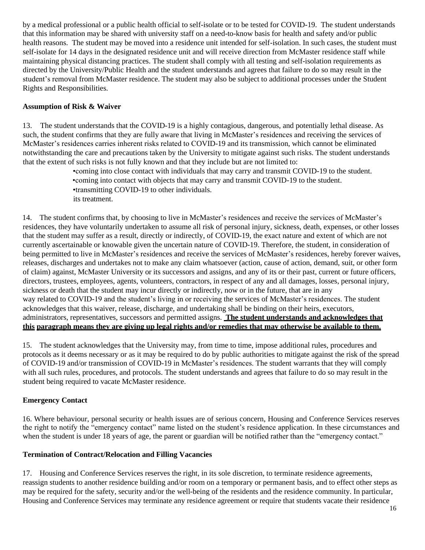by a medical professional or a public health official to self-isolate or to be tested for COVID-19. The student understands that this information may be shared with university staff on a need-to-know basis for health and safety and/or public health reasons. The student may be moved into a residence unit intended for self-isolation. In such cases, the student must self-isolate for 14 days in the designated residence unit and will receive direction from McMaster residence staff while maintaining physical distancing practices. The student shall comply with all testing and self-isolation requirements as directed by the University/Public Health and the student understands and agrees that failure to do so may result in the student's removal from McMaster residence. The student may also be subject to additional processes under the Student Rights and Responsibilities.

## **Assumption of Risk & Waiver**

13. The student understands that the COVID-19 is a highly contagious, dangerous, and potentially lethal disease. As such, the student confirms that they are fully aware that living in McMaster's residences and receiving the services of McMaster's residences carries inherent risks related to COVID-19 and its transmission, which cannot be eliminated notwithstanding the care and precautions taken by the University to mitigate against such risks. The student understands that the extent of such risks is not fully known and that they include but are not limited to:

> •coming into close contact with individuals that may carry and transmit COVID-19 to the student. •coming into contact with objects that may carry and transmit COVID-19 to the student. •transmitting COVID-19 to other individuals. its treatment.

14. The student confirms that, by choosing to live in McMaster's residences and receive the services of McMaster's residences, they have voluntarily undertaken to assume all risk of personal injury, sickness, death, expenses, or other losses that the student may suffer as a result, directly or indirectly, of COVID-19, the exact nature and extent of which are not currently ascertainable or knowable given the uncertain nature of COVID-19. Therefore, the student, in consideration of being permitted to live in McMaster's residences and receive the services of McMaster's residences, hereby forever waives, releases, discharges and undertakes not to make any claim whatsoever (action, cause of action, demand, suit, or other form of claim) against, McMaster University or its successors and assigns, and any of its or their past, current or future officers, directors, trustees, employees, agents, volunteers, contractors, in respect of any and all damages, losses, personal injury, sickness or death that the student may incur directly or indirectly, now or in the future, that are in any way related to COVID-19 and the student's living in or receiving the services of McMaster's residences. The student acknowledges that this waiver, release, discharge, and undertaking shall be binding on their heirs, executors, administrators, representatives, successors and permitted assigns. **The student understands and acknowledges that** this paragraph means they are giving up legal rights and/or remedies that may otherwise be available to them.

15. The student acknowledges that the University may, from time to time, impose additional rules, procedures and protocols as it deems necessary or as it may be required to do by public authorities to mitigate against the risk of the spread of COVID-19 and/or transmission of COVID-19 in McMaster's residences. The student warrants that they will comply with all such rules, procedures, and protocols. The student understands and agrees that failure to do so may result in the student being required to vacate McMaster residence.

# **Emergency Contact**

16. Where behaviour, personal security or health issues are of serious concern, Housing and Conference Services reserves the right to notify the "emergency contact" name listed on the student's residence application. In these circumstances and when the student is under 18 years of age, the parent or guardian will be notified rather than the "emergency contact."

#### **Termination of Contract/Relocation and Filling Vacancies**

17. Housing and Conference Services reserves the right, in its sole discretion, to terminate residence agreements, reassign students to another residence building and/or room on a temporary or permanent basis, and to effect other steps as may be required for the safety, security and/or the well-being of the residents and the residence community. In particular, Housing and Conference Services may terminate any residence agreement or require that students vacate their residence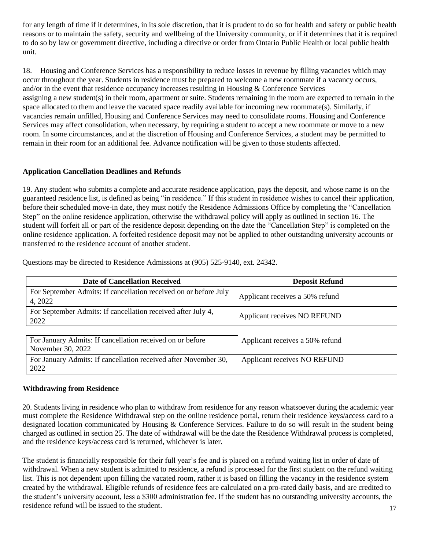for any length of time if it determines, in its sole discretion, that it is prudent to do so for health and safety or public health reasons or to maintain the safety, security and wellbeing of the University community, or if it determines that it is required to do so by law or government directive, including a directive or order from Ontario Public Health or local public health unit.

18. Housing and Conference Services has a responsibility to reduce losses in revenue by filling vacancies which may occur throughout the year. Students in residence must be prepared to welcome a new roommate if a vacancy occurs, and/or in the event that residence occupancy increases resulting in Housing & Conference Services assigning a new student(s) in their room, apartment or suite. Students remaining in the room are expected to remain in the space allocated to them and leave the vacated space readily available for incoming new roommate(s). Similarly, if vacancies remain unfilled, Housing and Conference Services may need to consolidate rooms. Housing and Conference Services may affect consolidation, when necessary, by requiring a student to accept a new roommate or move to a new room. In some circumstances, and at the discretion of Housing and Conference Services, a student may be permitted to remain in their room for an additional fee. Advance notification will be given to those students affected.

#### **Application Cancellation Deadlines and Refunds**

19. Any student who submits a complete and accurate residence application, pays the deposit, and whose name is on the guaranteed residence list, is defined as being "in residence." If this student in residence wishes to cancel their application, before their scheduled move-in date, they must notify the Residence Admissions Office by completing the "Cancellation Step" on the online residence application, otherwise the withdrawal policy will apply as outlined in section 16. The student will forfeit all or part of the residence deposit depending on the date the "Cancellation Step" is completed on the online residence application. A forfeited residence deposit may not be applied to other outstanding university accounts or transferred to the residence account of another student.

| <b>Date of Cancellation Received</b>                                           | <b>Deposit Refund</b>           |
|--------------------------------------------------------------------------------|---------------------------------|
| For September Admits: If cancellation received on or before July<br>4, 2022    | Applicant receives a 50% refund |
| For September Admits: If cancellation received after July 4,<br>2022           | Applicant receives NO REFUND    |
|                                                                                |                                 |
| For January Admits: If cancellation received on or before<br>November 30, 2022 | Applicant receives a 50% refund |
| For January Admits: If cancellation received after November 30,<br>2022        | Applicant receives NO REFUND    |

Questions may be directed to Residence Admissions at (905) 525-9140, ext. 24342.

#### **Withdrawing from Residence**

20. Students living in residence who plan to withdraw from residence for any reason whatsoever during the academic year must complete the Residence Withdrawal step on the online residence portal, return their residence keys/access card to a designated location communicated by Housing & Conference Services. Failure to do so will result in the student being charged as outlined in section 25. The date of withdrawal will be the date the Residence Withdrawal process is completed, and the residence keys/access card is returned, whichever is later.

The student is financially responsible for their full year's fee and is placed on a refund waiting list in order of date of withdrawal. When a new student is admitted to residence, a refund is processed for the first student on the refund waiting list. This is not dependent upon filling the vacated room, rather it is based on filling the vacancy in the residence system created by the withdrawal. Eligible refunds of residence fees are calculated on a pro-rated daily basis, and are credited to the student's university account, less a \$300 administration fee. If the student has no outstanding university accounts, the residence refund will be issued to the student.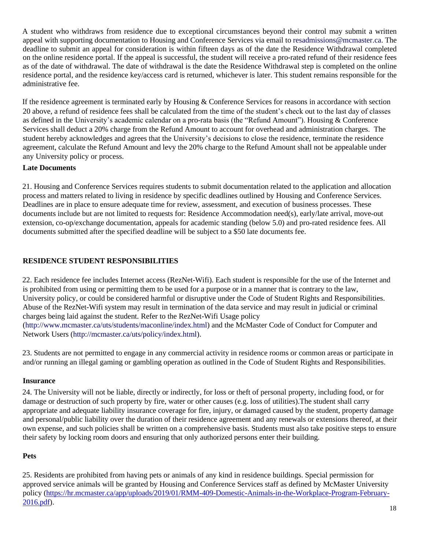A student who withdraws from residence due to exceptional circumstances beyond their control may submit a written appeal with supporting documentation to Housing and Conference Services via email to [resadmissions@mcmaster.ca.](mailto:resadmissions@mcmaster.ca) The deadline to submit an appeal for consideration is within fifteen days as of the date the Residence Withdrawal completed on the online residence portal. If the appeal is successful, the student will receive a pro-rated refund of their residence fees as of the date of withdrawal. The date of withdrawal is the date the Residence Withdrawal step is completed on the online residence portal, and the residence key/access card is returned, whichever is later. This student remains responsible for the administrative fee.

If the residence agreement is terminated early by Housing & Conference Services for reasons in accordance with section 20 above, a refund of residence fees shall be calculated from the time of the student's check out to the last day of classes as defined in the University's academic calendar on a pro-rata basis (the "Refund Amount"). Housing & Conference Services shall deduct a 20% charge from the Refund Amount to account for overhead and administration charges. The student hereby acknowledges and agrees that the University's decisions to close the residence, terminate the residence agreement, calculate the Refund Amount and levy the 20% charge to the Refund Amount shall not be appealable under any University policy or process.

#### **Late Documents**

21. Housing and Conference Services requires students to submit documentation related to the application and allocation process and matters related to living in residence by specific deadlines outlined by Housing and Conference Services. Deadlines are in place to ensure adequate time for review, assessment, and execution of business processes. These documents include but are not limited to requests for: Residence Accommodation need(s), early/late arrival, move-out extension, co-op/exchange documentation, appeals for academic standing (below 5.0) and pro-rated residence fees. All documents submitted after the specified deadline will be subject to a \$50 late documents fee.

## **RESIDENCE STUDENT RESPONSIBILITIES**

22. Each residence fee includes Internet access (RezNet-Wifi). Each student is responsible for the use of the Internet and is prohibited from using or permitting them to be used for a purpose or in a manner that is contrary to the law, University policy, or could be considered harmful or disruptive under the Code of Student Rights and Responsibilities. Abuse of the RezNet-Wifi system may result in termination of the data service and may result in judicial or criminal charges being laid against the student. Refer to the RezNet-Wifi Usage policy [\(http://www.mcmaster.ca/uts/students/maconline/index.html\)](http://www.mcmaster.ca/uts/students/maconline/index.html) and the McMaster Code of Conduct for Computer and Network Users [\(http://mcmaster.ca/uts/policy/index.html\)](http://mcmaster.ca/uts/policy/index.html).

23. Students are not permitted to engage in any commercial activity in residence rooms or common areas or participate in and/or running an illegal gaming or gambling operation as outlined in the Code of Student Rights and Responsibilities.

#### **Insurance**

24. The University will not be liable, directly or indirectly, for loss or theft of personal property, including food, or for damage or destruction of such property by fire, water or other causes (e.g. loss of utilities).The student shall carry appropriate and adequate liability insurance coverage for fire, injury, or damaged caused by the student, property damage and personal/public liability over the duration of their residence agreement and any renewals or extensions thereof, at their own expense, and such policies shall be written on a comprehensive basis. Students must also take positive steps to ensure their safety by locking room doors and ensuring that only authorized persons enter their building.

#### **Pets**

25. Residents are prohibited from having pets or animals of any kind in residence buildings. Special permission for approved service animals will be granted by Housing and Conference Services staff as defined by McMaster University policy [\(https://hr.mcmaster.ca/app/uploads/2019/01/RMM-409-Domestic-Animals-in-the-Workplace-Program-February-](https://hr.mcmaster.ca/app/uploads/2019/01/RMM-409-Domestic-Animals-in-the-Workplace-Program-February-2016.pdf)[2016.pdf\)](https://hr.mcmaster.ca/app/uploads/2019/01/RMM-409-Domestic-Animals-in-the-Workplace-Program-February-2016.pdf).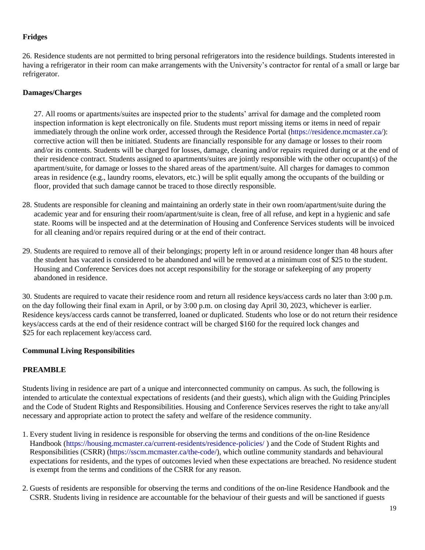#### **Fridges**

26. Residence students are not permitted to bring personal refrigerators into the residence buildings. Students interested in having a refrigerator in their room can make arrangements with the University's contractor for rental of a small or large bar refrigerator.

#### **Damages/Charges**

27. All rooms or apartments/suites are inspected prior to the students' arrival for damage and the completed room inspection information is kept electronically on file. Students must report missing items or items in need of repair immediately through the online work order, accessed through the Residence Portal [\(https://residence.mcma](https://residence.mcmaster.ca/)ster.ca/): corrective action will then be initiated. Students are financially responsible for any damage or losses to their room and/or its contents. Students will be charged for losses, damage, cleaning and/or repairs required during or at the end of their residence contract. Students assigned to apartments/suites are jointly responsible with the other occupant(s) of the apartment/suite, for damage or losses to the shared areas of the apartment/suite. All charges for damages to common areas in residence (e.g., laundry rooms, elevators, etc.) will be split equally among the occupants of the building or floor, provided that such damage cannot be traced to those directly responsible.

- 28. Students are responsible for cleaning and maintaining an orderly state in their own room/apartment/suite during the academic year and for ensuring their room/apartment/suite is clean, free of all refuse, and kept in a hygienic and safe state. Rooms will be inspected and at the determination of Housing and Conference Services students will be invoiced for all cleaning and/or repairs required during or at the end of their contract.
- 29. Students are required to remove all of their belongings; property left in or around residence longer than 48 hours after the student has vacated is considered to be abandoned and will be removed at a minimum cost of \$25 to the student. Housing and Conference Services does not accept responsibility for the storage or safekeeping of any property abandoned in residence.

30. Students are required to vacate their residence room and return all residence keys/access cards no later than 3:00 p.m. on the day following their final exam in April, or by 3:00 p.m. on closing day April 30, 2023, whichever is earlier. Residence keys/access cards cannot be transferred, loaned or duplicated. Students who lose or do not return their residence keys/access cards at the end of their residence contract will be charged \$160 for the required lock changes and \$25 for each replacement key/access card.

#### **Communal Living Responsibilities**

#### **PREAMBLE**

Students living in residence are part of a unique and interconnected community on campus. As such, the following is intended to articulate the contextual expectations of residents (and their guests), which align with the Guiding Principles and the Code of Student Rights and Responsibilities. Housing and Conference Services reserves the right to take any/all necessary and appropriate action to protect the safety and welfare of the residence community.

- 1. Every student living in residence is responsible for observing the terms and conditions of the on-line Residence Handbook [\(https://housing.mcmaster.ca/current-residents/residence-policies/](https://housing.mcmaster.ca/current-residents/residence-policies) ) and the Code of Student Rights and Responsibilities (CSRR) [\(https://sscm.mcma](https://sscm.mcmaster.ca/the-code)ster.ca/the-code/), which outline community standards and behavioural expectations for residents, and the types of outcomes levied when these expectations are breached. No residence student is exempt from the terms and conditions of the CSRR for any reason.
- 2. Guests of residents are responsible for observing the terms and conditions of the on-line Residence Handbook and the CSRR. Students living in residence are accountable for the behaviour of their guests and will be sanctioned if guests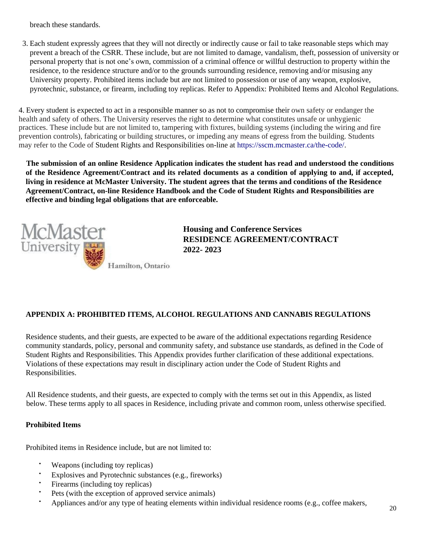breach these standards.

3. Each student expressly agrees that they will not directly or indirectly cause or fail to take reasonable steps which may prevent a breach of the CSRR. These include, but are not limited to damage, vandalism, theft, possession of university or personal property that is not one's own, commission of a criminal offence or willful destruction to property within the residence, to the residence structure and/or to the grounds surrounding residence, removing and/or misusing any University property. Prohibited items include but are not limited to possession or use of any weapon, explosive, pyrotechnic, substance, or firearm, including toy replicas. Refer to Appendix: Prohibited Items and Alcohol Regulations.

4. Every student is expected to act in a responsible manner so as not to compromise their own safety or endanger the health and safety of others. The University reserves the right to determine what constitutes unsafe or unhygienic practices. These include but are not limited to, tampering with fixtures, building systems (including the wiring and fire prevention controls), fabricating or building structures, or impeding any means of egress from the building. Students may refer to the Code of Student Rights and Responsibilities on-line at [https://sscm.mcma](https://sscm.mcmaster.ca/the-code)ster.ca/the-code/.

**The submission of an online Residence Application indicates the student has read and understood the conditions**  of the Residence Agreement/Contract and its related documents as a condition of applying to and, if accepted, **living in residence at McMaster University. The student agrees that the terms and conditions of the Residence Agreement/Contract, on-line Residence Handbook and the Code of Student Rights and Responsibilities are effective and binding legal obligations that are enforceable.**



 **Housing and Conference Services RESIDENCE AGREEMENT/CONTRACT**

# **APPENDIX A: PROHIBITED ITEMS, ALCOHOL REGULATIONS AND CANNABIS REGULATIONS**

Residence students, and their guests, are expected to be aware of the additional expectations regarding Residence community standards, policy, personal and community safety, and substance use standards, as defined in the Code of Student Rights and Responsibilities. This Appendix provides further clarification of these additional expectations. Violations of these expectations may result in disciplinary action under the Code of Student Rights and Responsibilities.

All Residence students, and their guests, are expected to comply with the terms set out in this Appendix, as listed below. These terms apply to all spaces in Residence, including private and common room, unless otherwise specified.

#### **Prohibited Items**

Prohibited items in Residence include, but are not limited to:

- Weapons (including toy replicas)
- Explosives and Pyrotechnic substances (e.g., fireworks)
- Firearms (including toy replicas)
- Pets (with the exception of approved service animals)
- Appliances and/or any type of heating elements within individual residence rooms (e.g., coffee makers,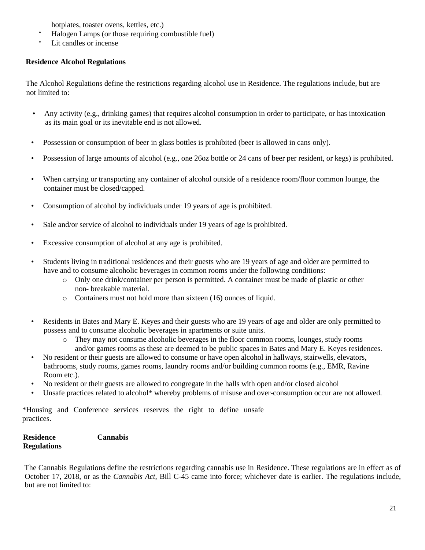hotplates, toaster ovens, kettles, etc.)

- Halogen Lamps (or those requiring combustible fuel)
- Lit candles or incense

## **Residence Alcohol Regulations**

The Alcohol Regulations define the restrictions regarding alcohol use in Residence. The regulations include, but are not limited to:

- Any activity (e.g., drinking games) that requires alcohol consumption in order to participate, or has intoxication as its main goal or its inevitable end is not allowed.
- Possession or consumption of beer in glass bottles is prohibited (beer is allowed in cans only).
- Possession of large amounts of alcohol (e.g., one 26oz bottle or 24 cans of beer per resident, or kegs) is prohibited.
- When carrying or transporting any container of alcohol outside of a residence room/floor common lounge, the container must be closed/capped.
- Consumption of alcohol by individuals under 19 years of age is prohibited.
- Sale and/or service of alcohol to individuals under 19 years of age is prohibited.
- Excessive consumption of alcohol at any age is prohibited.
- Students living in traditional residences and their guests who are 19 years of age and older are permitted to have and to consume alcoholic beverages in common rooms under the following conditions:
	- o Only one drink/container per person is permitted. A container must be made of plastic or other non- breakable material.
	- o Containers must not hold more than sixteen (16) ounces of liquid.
- Residents in Bates and Mary E. Keyes and their guests who are 19 years of age and older are only permitted to possess and to consume alcoholic beverages in apartments or suite units.
	- o They may not consume alcoholic beverages in the floor common rooms, lounges, study rooms and/or games rooms as these are deemed to be public spaces in Bates and Mary E. Keyes residences.
- No resident or their guests are allowed to consume or have open alcohol in hallways, stairwells, elevators, bathrooms, study rooms, games rooms, laundry rooms and/or building common rooms (e.g., EMR, Ravine Room etc.).
- No resident or their guests are allowed to congregate in the halls with open and/or closed alcohol
- Unsafe practices related to alcohol\* whereby problems of misuse and over-consumption occur are not allowed.

\*Housing and Conference services reserves the right to define unsafe practices.

| Residence          | <b>Cannabis</b> |
|--------------------|-----------------|
| <b>Regulations</b> |                 |

The Cannabis Regulations define the restrictions regarding cannabis use in Residence. These regulations are in effect as of October 17, 2018, or as the *Cannabis Act*, Bill C-45 came into force; whichever date is earlier. The regulations include, but are not limited to: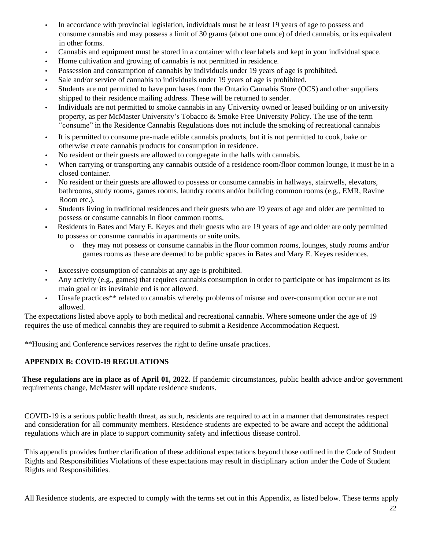- In accordance with provincial legislation, individuals must be at least 19 years of age to possess and consume cannabis and may possess a limit of 30 grams (about one ounce) of dried cannabis, or its equivalent in other forms.
- Cannabis and equipment must be stored in a container with clear labels and kept in your individual space.
- Home cultivation and growing of cannabis is not permitted in residence.
- Possession and consumption of cannabis by individuals under 19 years of age is prohibited.
- Sale and/or service of cannabis to individuals under 19 years of age is prohibited.
- Students are not permitted to have purchases from the Ontario Cannabis Store (OCS) and other suppliers shipped to their residence mailing address. These will be returned to sender.
- Individuals are not permitted to smoke cannabis in any University owned or leased building or on university property, as per McMaster University's Tobacco & Smoke Free University Policy. The use of the term "consume" in the Residence Cannabis Regulations does not include the smoking of recreational cannabis
- It is permitted to consume pre-made edible cannabis products, but it is not permitted to cook, bake or otherwise create cannabis products for consumption in residence.
- No resident or their guests are allowed to congregate in the halls with cannabis.
- When carrying or transporting any cannabis outside of a residence room/floor common lounge, it must be in a closed container.
- No resident or their guests are allowed to possess or consume cannabis in hallways, stairwells, elevators, bathrooms, study rooms, games rooms, laundry rooms and/or building common rooms (e.g., EMR, Ravine Room etc.).
- Students living in traditional residences and their guests who are 19 years of age and older are permitted to possess or consume cannabis in floor common rooms.
- Residents in Bates and Mary E. Keyes and their guests who are 19 years of age and older are only permitted to possess or consume cannabis in apartments or suite units.
	- o they may not possess or consume cannabis in the floor common rooms, lounges, study rooms and/or games rooms as these are deemed to be public spaces in Bates and Mary E. Keyes residences.
- Excessive consumption of cannabis at any age is prohibited.
- Any activity (e.g., games) that requires cannabis consumption in order to participate or has impairment as its main goal or its inevitable end is not allowed.
- Unsafe practices\*\* related to cannabis whereby problems of misuse and over-consumption occur are not allowed.

The expectations listed above apply to both medical and recreational cannabis. Where someone under the age of 19 requires the use of medical cannabis they are required to submit a Residence Accommodation Request.

\*\*Housing and Conference services reserves the right to define unsafe practices.

#### **APPENDIX B: COVID-19 REGULATIONS**

**These regulations are in place as of April 01, 2022.** If pandemic circumstances, public health advice and/or government requirements change, McMaster will update residence students.

COVID-19 is a serious public health threat, as such, residents are required to act in a manner that demonstrates respect and consideration for all community members. Residence students are expected to be aware and accept the additional regulations which are in place to support community safety and infectious disease control.

This appendix provides further clarification of these additional expectations beyond those outlined in the Code of Student Rights and Responsibilities Violations of these expectations may result in disciplinary action under the Code of Student Rights and Responsibilities.

All Residence students, are expected to comply with the terms set out in this Appendix, as listed below. These terms apply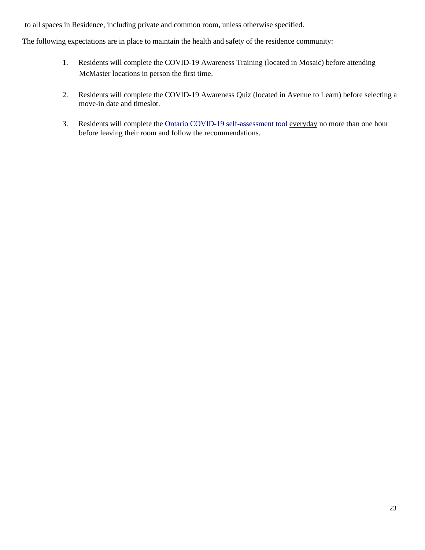to all spaces in Residence, including private and common room, unless otherwise specified.

The following expectations are in place to maintain the health and safety of the residence community:

- 1. Residents will complete the COVID-19 Awareness Training (located in Mosaic) before attending McMaster locations in person the first time.
- 2. Residents will complete the COVID-19 Awareness Quiz (located in Avenue to Learn) before selecting a move-in date and timeslot.
- 3. Residents will complete the Ontario COVID-19 self-assessment tool everyday no more than one hour before leaving their room and follow the recommendations.